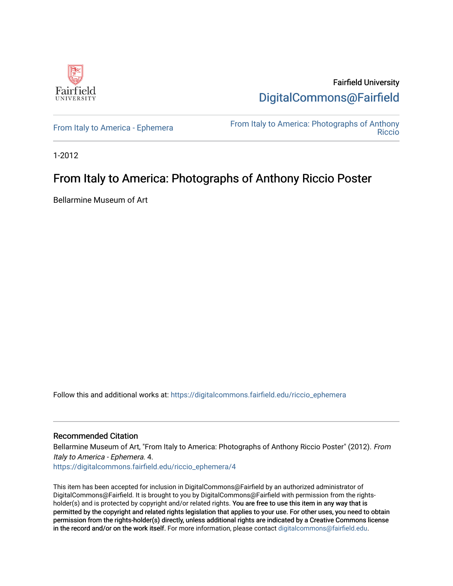

Fairfield University [DigitalCommons@Fairfield](https://digitalcommons.fairfield.edu/) 

[From Italy to America - Ephemera](https://digitalcommons.fairfield.edu/riccio_ephemera)<br>Biocio [Riccio](https://digitalcommons.fairfield.edu/riccio) 

1-2012

#### From Italy to America: Photographs of Anthony Riccio Poster

Bellarmine Museum of Art

Follow this and additional works at: [https://digitalcommons.fairfield.edu/riccio\\_ephemera](https://digitalcommons.fairfield.edu/riccio_ephemera?utm_source=digitalcommons.fairfield.edu%2Friccio_ephemera%2F4&utm_medium=PDF&utm_campaign=PDFCoverPages)

#### Recommended Citation

Bellarmine Museum of Art, "From Italy to America: Photographs of Anthony Riccio Poster" (2012). From Italy to America - Ephemera. 4.

[https://digitalcommons.fairfield.edu/riccio\\_ephemera/4](https://digitalcommons.fairfield.edu/riccio_ephemera/4?utm_source=digitalcommons.fairfield.edu%2Friccio_ephemera%2F4&utm_medium=PDF&utm_campaign=PDFCoverPages) 

This item has been accepted for inclusion in DigitalCommons@Fairfield by an authorized administrator of DigitalCommons@Fairfield. It is brought to you by DigitalCommons@Fairfield with permission from the rightsholder(s) and is protected by copyright and/or related rights. You are free to use this item in any way that is permitted by the copyright and related rights legislation that applies to your use. For other uses, you need to obtain permission from the rights-holder(s) directly, unless additional rights are indicated by a Creative Commons license in the record and/or on the work itself. For more information, please contact [digitalcommons@fairfield.edu.](mailto:digitalcommons@fairfield.edu)